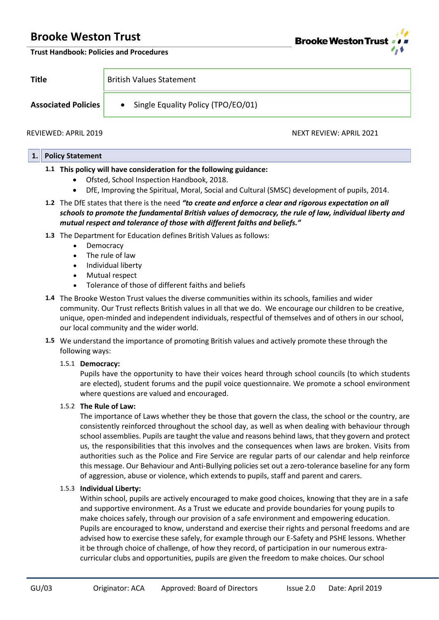# **Brooke Weston Trust**



#### **Trust Handbook: Policies and Procedures**

| <b>Title</b>               | <b>British Values Statement</b>      |
|----------------------------|--------------------------------------|
| <b>Associated Policies</b> | • Single Equality Policy (TPO/EO/01) |

REVIEWED: APRIL 2019 NEXT REVIEW: APRIL 2021

### **1. Policy Statement**

## **1.1 This policy will have consideration for the following guidance:**

- Ofsted, School Inspection Handbook, 2018.
- DfE, Improving the Spiritual, Moral, Social and Cultural (SMSC) development of pupils, 2014.
- **1.2** The DfE states that there is the need *"to create and enforce a clear and rigorous expectation on all schools to promote the fundamental British values of democracy, the rule of law, individual liberty and mutual respect and tolerance of those with different faiths and beliefs."*
- **1.3** The Department for Education defines British Values as follows:
	- Democracy
	- The rule of law
	- Individual liberty
	- Mutual respect
	- Tolerance of those of different faiths and beliefs
- **1.4** The Brooke Weston Trust values the diverse communities within its schools, families and wider community. Our Trust reflects British values in all that we do. We encourage our children to be creative, unique, open-minded and independent individuals, respectful of themselves and of others in our school, our local community and the wider world.
- **1.5** We understand the importance of promoting British values and actively promote these through the following ways:

### 1.5.1 **Democracy:**

Pupils have the opportunity to have their voices heard through school councils (to which students are elected), student forums and the pupil voice questionnaire. We promote a school environment where questions are valued and encouraged.

## 1.5.2 **The Rule of Law:**

The importance of Laws whether they be those that govern the class, the school or the country, are consistently reinforced throughout the school day, as well as when dealing with behaviour through school assemblies. Pupils are taught the value and reasons behind laws, that they govern and protect us, the responsibilities that this involves and the consequences when laws are broken. Visits from authorities such as the Police and Fire Service are regular parts of our calendar and help reinforce this message. Our Behaviour and Anti-Bullying policies set out a zero-tolerance baseline for any form of aggression, abuse or violence, which extends to pupils, staff and parent and carers.

## 1.5.3 **Individual Liberty:**

Within school, pupils are actively encouraged to make good choices, knowing that they are in a safe and supportive environment. As a Trust we educate and provide boundaries for young pupils to make choices safely, through our provision of a safe environment and empowering education. Pupils are encouraged to know, understand and exercise their rights and personal freedoms and are advised how to exercise these safely, for example through our E-Safety and PSHE lessons. Whether it be through choice of challenge, of how they record, of participation in our numerous extracurricular clubs and opportunities, pupils are given the freedom to make choices. Our school